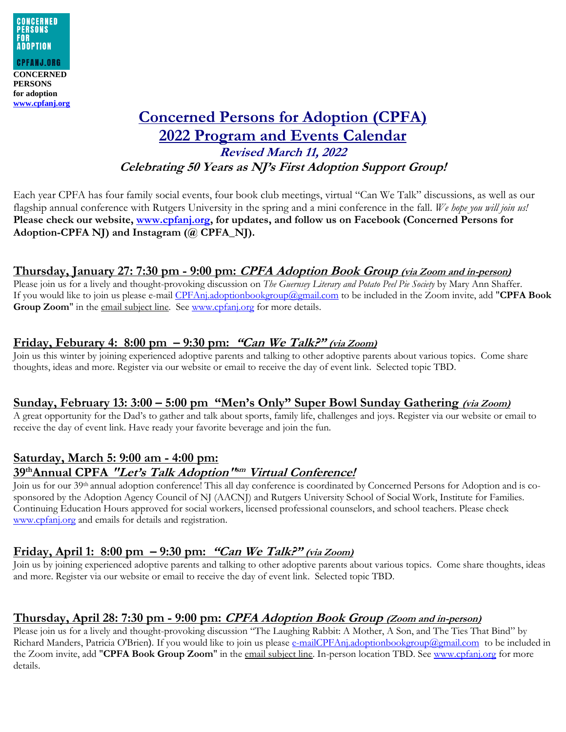

# **Concerned Persons for Adoption (CPFA) 2022 Program and Events Calendar Revised March 11, 2022 Celebrating 50 Years as NJ's First Adoption Support Group!**

Each year CPFA has four family social events, four book club meetings, virtual "Can We Talk" discussions, as well as our flagship annual conference with Rutgers University in the spring and a mini conference in the fall. *We hope you will join us!* **Please check our website, [www.cpfanj.org,](http://www.cpfanj.org/) for updates, and follow us on Facebook (Concerned Persons for Adoption-CPFA NJ) and Instagram (@ CPFA\_NJ).**

### **Thursday, January 27: 7:30 pm - 9:00 pm: CPFA Adoption Book Group (via Zoom and in-person)**

Please join us for a lively and thought-provoking discussion on *The Guernsey Literary and Potato Peel Pie Society* by Mary Ann Shaffer. If you would like to join us please e-mail [CPFAnj.adoptionbookgroup@gmail.com](mailto:CPFAnj.adoptionbookgroup@gmail.com) to be included in the Zoom invite, add "**CPFA Book**  Group Zoom" in the email subject line. See [www.cpfanj.org](http://www.cpfanj.org/) for more details.

#### **Friday, Feburary 4: 8:00 pm – 9:30 pm: "Can We Talk?" (via Zoom)**

Join us this winter by joining experienced adoptive parents and talking to other adoptive parents about various topics. Come share thoughts, ideas and more. Register via our website or email to receive the day of event link. Selected topic TBD.

#### **Sunday, February 13: 3:00 – 5:00 pm "Men's Only" Super Bowl Sunday Gathering (via Zoom)**

A great opportunity for the Dad's to gather and talk about sports, family life, challenges and joys. Register via our website or email to receive the day of event link. Have ready your favorite beverage and join the fun.

### **Saturday, March 5: 9:00 am - 4:00 pm: 39thAnnual CPFA "Let's Talk Adoption" sm Virtual Conference!**

Join us for our 39th annual adoption conference! This all day conference is coordinated by Concerned Persons for Adoption and is cosponsored by the Adoption Agency Council of NJ (AACNJ) and Rutgers University School of Social Work, Institute for Families. Continuing Education Hours approved for social workers, licensed professional counselors, and school teachers. Please check [www.cpfanj.org](https://protect-us.mimecast.com/s/B06NC82Nm0IOQy8I1gpmC?domain=cpfanj.org) and emails for details and registration.

#### **Friday, April 1: 8:00 pm – 9:30 pm: "Can We Talk?" (via Zoom)**

Join us by joining experienced adoptive parents and talking to other adoptive parents about various topics. Come share thoughts, ideas and more. Register via our website or email to receive the day of event link. Selected topic TBD.

#### **Thursday, April 28: 7:30 pm - 9:00 pm: CPFA Adoption Book Group (Zoom and in-person)**

Please join us for a lively and thought-provoking discussion "The Laughing Rabbit: A Mother, A Son, and The Ties That Bind" by Richard Manders, Patricia O'Brien). If you would like to join us please [e-mailCPFAnj.adoptionbookgroup@gmail.com](mailto:e-mailCPFAnj.adoptionbookgroup@gmail.com) to be included in the Zoom invite, add "**CPFA Book Group Zoom**" in the email subject line. In-person location TBD. See [www.cpfanj.org](http://www.cpfanj.org/) for more details.